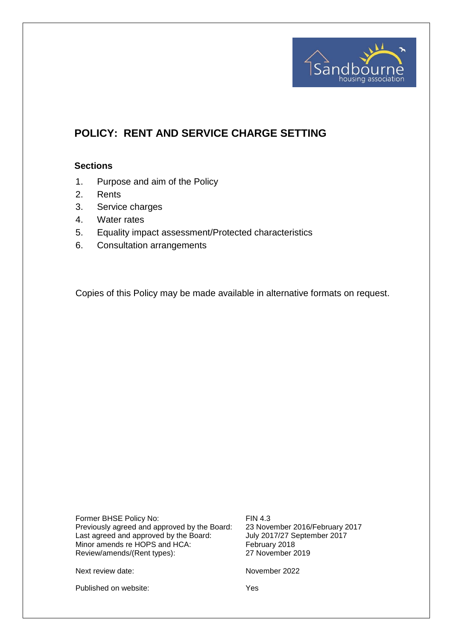

# **POLICY: RENT AND SERVICE CHARGE SETTING**

#### **Sections**

- 1. Purpose and aim of the Policy
- 2. Rents
- 3. Service charges
- 4. Water rates
- 5. Equality impact assessment/Protected characteristics
- 6. Consultation arrangements

Copies of this Policy may be made available in alternative formats on request.

Former BHSE Policy No: FIN 4.3 Previously agreed and approved by the Board: 23 November 2016/February 2017 Last agreed and approved by the Board: July 2017/27 September 2017 Minor amends re HOPS and HCA: February 2018<br>Review/amends/(Rent types): 27 November 2019 Review/amends/(Rent types):

Next review date: November 2022

Published on website: Yes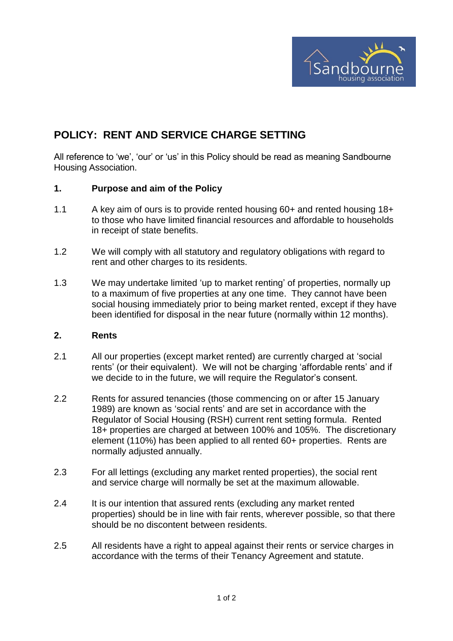

## **POLICY: RENT AND SERVICE CHARGE SETTING**

All reference to 'we', 'our' or 'us' in this Policy should be read as meaning Sandbourne Housing Association.

#### **1. Purpose and aim of the Policy**

- 1.1 A key aim of ours is to provide rented housing 60+ and rented housing 18+ to those who have limited financial resources and affordable to households in receipt of state benefits.
- 1.2 We will comply with all statutory and regulatory obligations with regard to rent and other charges to its residents.
- 1.3 We may undertake limited 'up to market renting' of properties, normally up to a maximum of five properties at any one time. They cannot have been social housing immediately prior to being market rented, except if they have been identified for disposal in the near future (normally within 12 months).

#### **2. Rents**

- 2.1 All our properties (except market rented) are currently charged at 'social rents' (or their equivalent). We will not be charging 'affordable rents' and if we decide to in the future, we will require the Regulator's consent.
- 2.2 Rents for assured tenancies (those commencing on or after 15 January 1989) are known as 'social rents' and are set in accordance with the Regulator of Social Housing (RSH) current rent setting formula. Rented 18+ properties are charged at between 100% and 105%. The discretionary element (110%) has been applied to all rented 60+ properties. Rents are normally adjusted annually.
- 2.3 For all lettings (excluding any market rented properties), the social rent and service charge will normally be set at the maximum allowable.
- 2.4 It is our intention that assured rents (excluding any market rented properties) should be in line with fair rents, wherever possible, so that there should be no discontent between residents.
- 2.5 All residents have a right to appeal against their rents or service charges in accordance with the terms of their Tenancy Agreement and statute.